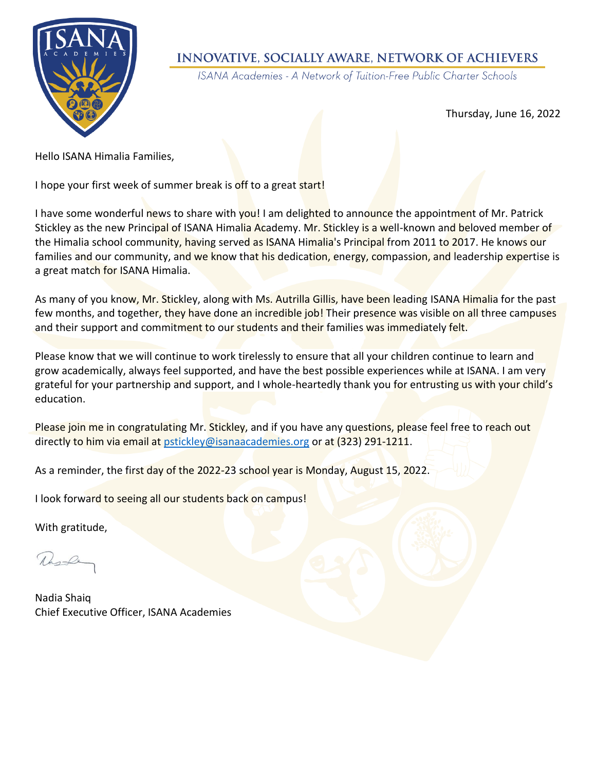

## INNOVATIVE, SOCIALLY AWARE, NETWORK OF ACHIEVERS

ISANA Academies - A Network of Tuition-Free Public Charter Schools

Thursday, June 16, 2022

Hello ISANA Himalia Families,

I hope your first week of summer break is off to a great start!

I have some wonderful news to share with you! I am delighted to announce the appointment of Mr. Patrick Stickley as the new Principal of ISANA Himalia Academy. Mr. Stickley is a well-known and beloved member of the Himalia school community, having served as ISANA Himalia's Principal from 2011 to 2017. He knows our families and our community, and we know that his dedication, energy, compassion, and leadership expertise is a great match for ISANA Himalia.

As many of you know, Mr. Stickley, along with Ms. Autrilla Gillis, have been leading ISANA Himalia for the past few months, and together, they have done an incredible job! Their presence was visible on all three campuses and their support and commitment to our students and their families was immediately felt.

Please know that we will continue to work tirelessly to ensure that all your children continue to learn and grow academically, always feel supported, and have the best possible experiences while at ISANA. I am very grateful for your partnership and support, and I whole-heartedly thank you for entrusting us with your child's education.

Please join me in congratulating Mr. Stickley, and if you have any questions, please feel free to reach out directly to him via email at [pstickley@isanaacademies.org](mailto:pstickley@isanaacademies.org) or at (323) 291-1211.

As a reminder, the first day of the 2022-23 school year is Monday, August 15, 2022.

I look forward to seeing all our students back on campus!

With gratitude,

Ruske

Nadia Shaiq Chief Executive Officer, ISANA Academies